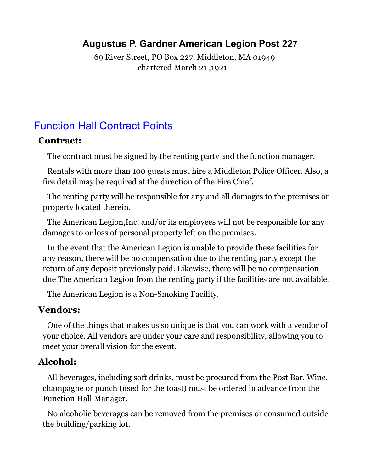#### **Augustus P. Gardner American Legion Post 227**

69 River Street, PO Box 227, Middleton, MA 01949 chartered March 21 ,1921

# Function Hall Contract Points

#### **Contract:**

The contract must be signed by the renting party and the function manager.

Rentals with more than 100 guests must hire a Middleton Police Officer. Also, a fire detail may be required at the direction of the Fire Chief.

The renting party will be responsible for any and all damages to the premises or property located therein.

The American Legion,Inc. and/or its employees will not be responsible for any damages to or loss of personal property left on the premises.

In the event that the American Legion is unable to provide these facilities for any reason, there will be no compensation due to the renting party except the return of any deposit previously paid. Likewise, there will be no compensation due The American Legion from the renting party if the facilities are not available.

The American Legion is a Non-Smoking Facility.

#### **Vendors:**

One of the things that makes us so unique is that you can work with a vendor of your choice. All vendors are under your care and responsibility, allowing you to meet your overall vision for the event.

## **Alcohol:**

All beverages, including soft drinks, must be procured from the Post Bar. Wine, champagne or punch (used for the toast) must be ordered in advance from the Function Hall Manager.

No alcoholic beverages can be removed from the premises or consumed outside the building/parking lot.